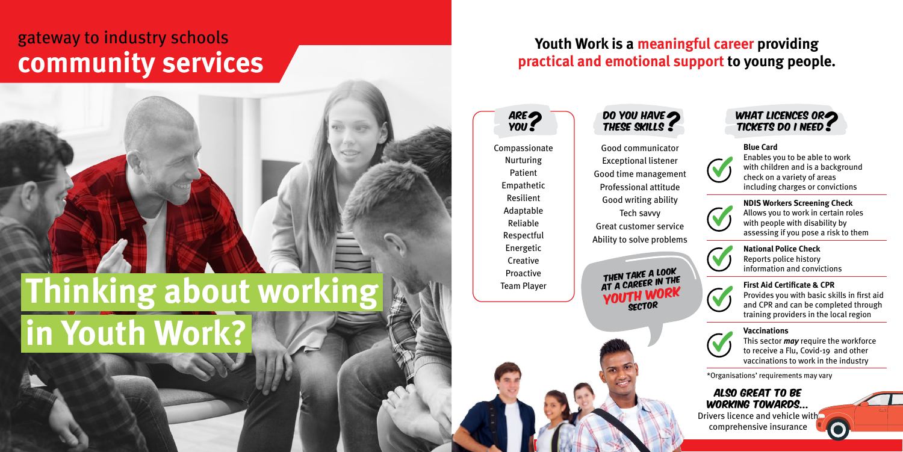### **Youth Work is a meaningful career providing practical and emotional support to young people.**

Compassionate Nurturing

> Patient Empathetic Resilient Adaptable Reliable Respectful Energetic **Creative** Proactive Team Player

Good communicator Exceptional listener Good time management Professional attitude Good writing ability Tech savvy Great customer service Ability to solve problems

> Then take a look THEN THE IN THE YOUTH WORK

DO YOU HAVE these skills?



vaccinations to work in the industry



#### Also great to be working towards...

Drivers licence and vehicle with comprehensive insurance

\*Organisations' requirements may vary

# **Thinking about working in Youth Work?**

## gateway to industry schools **community services**